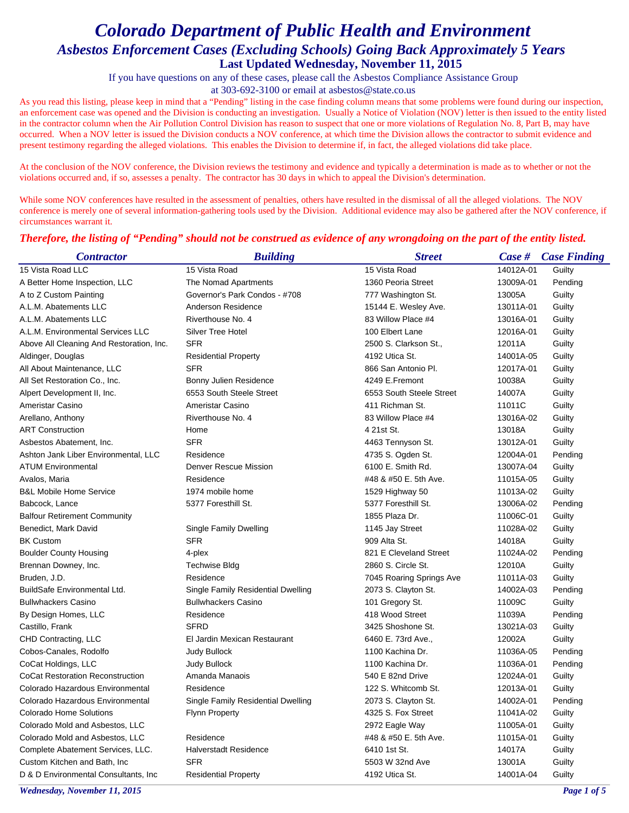If you have questions on any of these cases, please call the Asbestos Compliance Assistance Group

at 303-692-3100 or email at asbestos@state.co.us

As you read this listing, please keep in mind that a "Pending" listing in the case finding column means that some problems were found during our inspection, an enforcement case was opened and the Division is conducting an investigation. Usually a Notice of Violation (NOV) letter is then issued to the entity listed in the contractor column when the Air Pollution Control Division has reason to suspect that one or more violations of Regulation No. 8, Part B, may have occurred. When a NOV letter is issued the Division conducts a NOV conference, at which time the Division allows the contractor to submit evidence and present testimony regarding the alleged violations. This enables the Division to determine if, in fact, the alleged violations did take place.

At the conclusion of the NOV conference, the Division reviews the testimony and evidence and typically a determination is made as to whether or not the violations occurred and, if so, assesses a penalty. The contractor has 30 days in which to appeal the Division's determination.

While some NOV conferences have resulted in the assessment of penalties, others have resulted in the dismissal of all the alleged violations. The NOV conference is merely one of several information-gathering tools used by the Division. Additional evidence may also be gathered after the NOV conference, if circumstances warrant it.

### *Therefore, the listing of "Pending" should not be construed as evidence of any wrongdoing on the part of the entity listed.*

| <b>Contractor</b>                        | <b>Building</b>                    | <b>Street</b>            |           | <b>Case #</b> Case Finding |
|------------------------------------------|------------------------------------|--------------------------|-----------|----------------------------|
| 15 Vista Road LLC                        | 15 Vista Road                      | 15 Vista Road            | 14012A-01 | Guilty                     |
| A Better Home Inspection, LLC            | The Nomad Apartments               | 1360 Peoria Street       | 13009A-01 | Pending                    |
| A to Z Custom Painting                   | Governor's Park Condos - #708      | 777 Washington St.       | 13005A    | Guilty                     |
| A.L.M. Abatements LLC                    | Anderson Residence                 | 15144 E. Wesley Ave.     | 13011A-01 | Guilty                     |
| A.L.M. Abatements LLC                    | Riverthouse No. 4                  | 83 Willow Place #4       | 13016A-01 | Guilty                     |
| A.L.M. Environmental Services LLC        | <b>Silver Tree Hotel</b>           | 100 Elbert Lane          | 12016A-01 | Guilty                     |
| Above All Cleaning And Restoration, Inc. | <b>SFR</b>                         | 2500 S. Clarkson St.,    | 12011A    | Guilty                     |
| Aldinger, Douglas                        | <b>Residential Property</b>        | 4192 Utica St.           | 14001A-05 | Guilty                     |
| All About Maintenance, LLC               | <b>SFR</b>                         | 866 San Antonio Pl.      | 12017A-01 | Guilty                     |
| All Set Restoration Co., Inc.            | Bonny Julien Residence             | 4249 E.Fremont           | 10038A    | Guilty                     |
| Alpert Development II, Inc.              | 6553 South Steele Street           | 6553 South Steele Street | 14007A    | Guilty                     |
| Ameristar Casino                         | Ameristar Casino                   | 411 Richman St.          | 11011C    | Guilty                     |
| Arellano, Anthony                        | Riverthouse No. 4                  | 83 Willow Place #4       | 13016A-02 | Guilty                     |
| <b>ART Construction</b>                  | Home                               | 4 21st St.               | 13018A    | Guilty                     |
| Asbestos Abatement, Inc.                 | <b>SFR</b>                         | 4463 Tennyson St.        | 13012A-01 | Guilty                     |
| Ashton Jank Liber Environmental, LLC     | Residence                          | 4735 S. Ogden St.        | 12004A-01 | Pending                    |
| <b>ATUM Environmental</b>                | <b>Denver Rescue Mission</b>       | 6100 E. Smith Rd.        | 13007A-04 | Guilty                     |
| Avalos, Maria                            | Residence                          | #48 & #50 E. 5th Ave.    | 11015A-05 | Guilty                     |
| <b>B&amp;L Mobile Home Service</b>       | 1974 mobile home                   | 1529 Highway 50          | 11013A-02 | Guilty                     |
| Babcock, Lance                           | 5377 Foresthill St.                | 5377 Foresthill St.      | 13006A-02 | Pending                    |
| <b>Balfour Retirement Community</b>      |                                    | 1855 Plaza Dr.           | 11006C-01 | Guilty                     |
| Benedict, Mark David                     | Single Family Dwelling             | 1145 Jay Street          | 11028A-02 | Guilty                     |
| <b>BK Custom</b>                         | <b>SFR</b>                         | 909 Alta St.             | 14018A    | Guilty                     |
| <b>Boulder County Housing</b>            | 4-plex                             | 821 E Cleveland Street   | 11024A-02 | Pending                    |
| Brennan Downey, Inc.                     | <b>Techwise Bldg</b>               | 2860 S. Circle St.       | 12010A    | Guilty                     |
| Bruden, J.D.                             | Residence                          | 7045 Roaring Springs Ave | 11011A-03 | Guilty                     |
| BuildSafe Environmental Ltd.             | Single Family Residential Dwelling | 2073 S. Clayton St.      | 14002A-03 | Pending                    |
| <b>Bullwhackers Casino</b>               | <b>Bullwhackers Casino</b>         | 101 Gregory St.          | 11009C    | Guilty                     |
| By Design Homes, LLC                     | Residence                          | 418 Wood Street          | 11039A    | Pending                    |
| Castillo, Frank                          | <b>SFRD</b>                        | 3425 Shoshone St.        | 13021A-03 | Guilty                     |
| CHD Contracting, LLC                     | El Jardin Mexican Restaurant       | 6460 E. 73rd Ave.,       | 12002A    | Guilty                     |
| Cobos-Canales, Rodolfo                   | <b>Judy Bullock</b>                | 1100 Kachina Dr.         | 11036A-05 | Pending                    |
| CoCat Holdings, LLC                      | <b>Judy Bullock</b>                | 1100 Kachina Dr.         | 11036A-01 | Pending                    |
| <b>CoCat Restoration Reconstruction</b>  | Amanda Manaois                     | 540 E 82nd Drive         | 12024A-01 | Guilty                     |
| Colorado Hazardous Environmental         | Residence                          | 122 S. Whitcomb St.      | 12013A-01 | Guilty                     |
| Colorado Hazardous Environmental         | Single Family Residential Dwelling | 2073 S. Clayton St.      | 14002A-01 | Pending                    |
| <b>Colorado Home Solutions</b>           | Flynn Property                     | 4325 S. Fox Street       | 11041A-02 | Guilty                     |
| Colorado Mold and Asbestos, LLC          |                                    | 2972 Eagle Way           | 11005A-01 | Guilty                     |
| Colorado Mold and Asbestos, LLC          | Residence                          | #48 & #50 E. 5th Ave.    | 11015A-01 | Guilty                     |
| Complete Abatement Services, LLC.        | <b>Halverstadt Residence</b>       | 6410 1st St.             | 14017A    | Guilty                     |
| Custom Kitchen and Bath, Inc.            | <b>SFR</b>                         | 5503 W 32nd Ave          | 13001A    | Guilty                     |
| D & D Environmental Consultants, Inc.    | <b>Residential Property</b>        | 4192 Utica St.           | 14001A-04 | Guilty                     |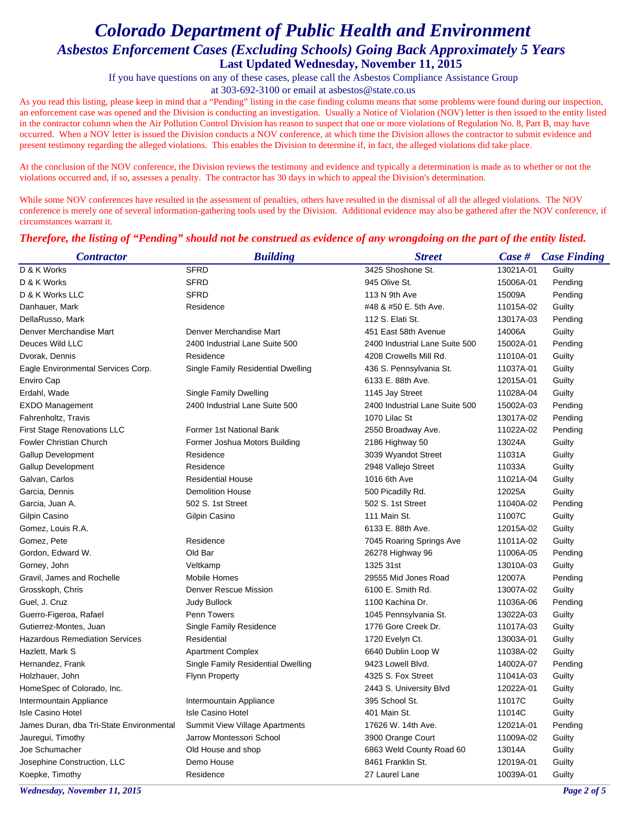If you have questions on any of these cases, please call the Asbestos Compliance Assistance Group

at 303-692-3100 or email at asbestos@state.co.us

As you read this listing, please keep in mind that a "Pending" listing in the case finding column means that some problems were found during our inspection, an enforcement case was opened and the Division is conducting an investigation. Usually a Notice of Violation (NOV) letter is then issued to the entity listed in the contractor column when the Air Pollution Control Division has reason to suspect that one or more violations of Regulation No. 8, Part B, may have occurred. When a NOV letter is issued the Division conducts a NOV conference, at which time the Division allows the contractor to submit evidence and present testimony regarding the alleged violations. This enables the Division to determine if, in fact, the alleged violations did take place.

At the conclusion of the NOV conference, the Division reviews the testimony and evidence and typically a determination is made as to whether or not the violations occurred and, if so, assesses a penalty. The contractor has 30 days in which to appeal the Division's determination.

While some NOV conferences have resulted in the assessment of penalties, others have resulted in the dismissal of all the alleged violations. The NOV conference is merely one of several information-gathering tools used by the Division. Additional evidence may also be gathered after the NOV conference, if circumstances warrant it.

### *Therefore, the listing of "Pending" should not be construed as evidence of any wrongdoing on the part of the entity listed.*

| <b>Contractor</b>                        | <b>Building</b>                    | <b>Street</b>                  |           | <b>Case #</b> Case Finding |
|------------------------------------------|------------------------------------|--------------------------------|-----------|----------------------------|
| D & K Works                              | <b>SFRD</b>                        | 3425 Shoshone St.              | 13021A-01 | Guilty                     |
| D & K Works                              | <b>SFRD</b>                        | 945 Olive St.                  | 15006A-01 | Pending                    |
| D & K Works LLC                          | <b>SFRD</b>                        | 113 N 9th Ave                  | 15009A    | Pending                    |
| Danhauer, Mark                           | Residence                          | #48 & #50 E. 5th Ave.          | 11015A-02 | Guilty                     |
| DellaRusso, Mark                         |                                    | 112 S. Elati St.               | 13017A-03 | Pending                    |
| Denver Merchandise Mart                  | Denver Merchandise Mart            | 451 East 58th Avenue           | 14006A    | Guilty                     |
| Deuces Wild LLC                          | 2400 Industrial Lane Suite 500     | 2400 Industrial Lane Suite 500 | 15002A-01 | Pending                    |
| Dvorak, Dennis                           | Residence                          | 4208 Crowells Mill Rd.         | 11010A-01 | Guilty                     |
| Eagle Environmental Services Corp.       | Single Family Residential Dwelling | 436 S. Pennsylvania St.        | 11037A-01 | Guilty                     |
| Enviro Cap                               |                                    | 6133 E. 88th Ave.              | 12015A-01 | Guilty                     |
| Erdahl, Wade                             | Single Family Dwelling             | 1145 Jay Street                | 11028A-04 | Guilty                     |
| <b>EXDO Management</b>                   | 2400 Industrial Lane Suite 500     | 2400 Industrial Lane Suite 500 | 15002A-03 | Pending                    |
| Fahrenholtz, Travis                      |                                    | 1070 Lilac St                  | 13017A-02 | Pending                    |
| First Stage Renovations LLC              | Former 1st National Bank           | 2550 Broadway Ave.             | 11022A-02 | Pending                    |
| <b>Fowler Christian Church</b>           | Former Joshua Motors Building      | 2186 Highway 50                | 13024A    | Guilty                     |
| <b>Gallup Development</b>                | Residence                          | 3039 Wyandot Street            | 11031A    | Guilty                     |
| Gallup Development                       | Residence                          | 2948 Vallejo Street            | 11033A    | Guilty                     |
| Galvan, Carlos                           | <b>Residential House</b>           | 1016 6th Ave                   | 11021A-04 | Guilty                     |
| Garcia, Dennis                           | <b>Demolition House</b>            | 500 Picadilly Rd.              | 12025A    | Guilty                     |
| Garcia, Juan A.                          | 502 S. 1st Street                  | 502 S. 1st Street              | 11040A-02 | Pending                    |
| Gilpin Casino                            | Gilpin Casino                      | 111 Main St.                   | 11007C    | Guilty                     |
| Gomez, Louis R.A.                        |                                    | 6133 E. 88th Ave.              | 12015A-02 | Guilty                     |
| Gomez, Pete                              | Residence                          | 7045 Roaring Springs Ave       | 11011A-02 | Guilty                     |
| Gordon, Edward W.                        | Old Bar                            | 26278 Highway 96               | 11006A-05 | Pending                    |
| Gorney, John                             | Veltkamp                           | 1325 31st                      | 13010A-03 | Guilty                     |
| Gravil, James and Rochelle               | <b>Mobile Homes</b>                | 29555 Mid Jones Road           | 12007A    | Pending                    |
| Grosskoph, Chris                         | <b>Denver Rescue Mission</b>       | 6100 E. Smith Rd.              | 13007A-02 | Guilty                     |
| Guel, J. Cruz                            | Judy Bullock                       | 1100 Kachina Dr.               | 11036A-06 | Pending                    |
| Guerro-Figeroa, Rafael                   | Penn Towers                        | 1045 Pennsylvania St.          | 13022A-03 | Guilty                     |
| Gutierrez-Montes, Juan                   | Single Family Residence            | 1776 Gore Creek Dr.            | 11017A-03 | Guilty                     |
| <b>Hazardous Remediation Services</b>    | Residential                        | 1720 Evelyn Ct.                | 13003A-01 | Guilty                     |
| Hazlett, Mark S                          | <b>Apartment Complex</b>           | 6640 Dublin Loop W             | 11038A-02 | Guilty                     |
| Hernandez, Frank                         | Single Family Residential Dwelling | 9423 Lowell Blvd.              | 14002A-07 | Pending                    |
| Holzhauer, John                          | <b>Flynn Property</b>              | 4325 S. Fox Street             | 11041A-03 | Guilty                     |
| HomeSpec of Colorado, Inc.               |                                    | 2443 S. University Blvd        | 12022A-01 | Guilty                     |
| Intermountain Appliance                  | Intermountain Appliance            | 395 School St.                 | 11017C    | Guilty                     |
| <b>Isle Casino Hotel</b>                 | <b>Isle Casino Hotel</b>           | 401 Main St.                   | 11014C    | Guilty                     |
| James Duran, dba Tri-State Environmental | Summit View Village Apartments     | 17626 W. 14th Ave.             | 12021A-01 | Pending                    |
| Jauregui, Timothy                        | Jarrow Montessori School           | 3900 Orange Court              | 11009A-02 | Guilty                     |
| Joe Schumacher                           | Old House and shop                 | 6863 Weld County Road 60       | 13014A    | Guilty                     |
| Josephine Construction, LLC              | Demo House                         | 8461 Franklin St.              | 12019A-01 | Guilty                     |
| Koepke, Timothy                          | Residence                          | 27 Laurel Lane                 | 10039A-01 | Guilty                     |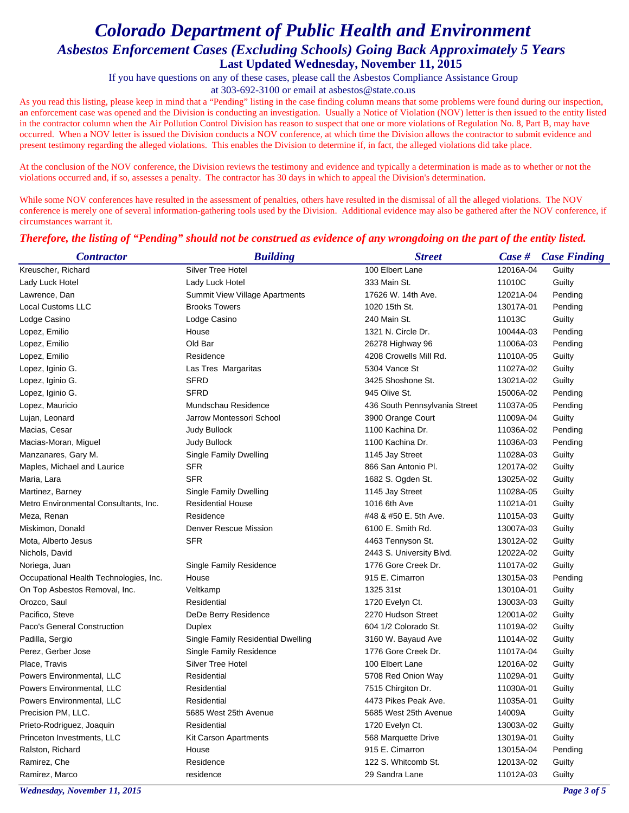If you have questions on any of these cases, please call the Asbestos Compliance Assistance Group

at 303-692-3100 or email at asbestos@state.co.us

As you read this listing, please keep in mind that a "Pending" listing in the case finding column means that some problems were found during our inspection, an enforcement case was opened and the Division is conducting an investigation. Usually a Notice of Violation (NOV) letter is then issued to the entity listed in the contractor column when the Air Pollution Control Division has reason to suspect that one or more violations of Regulation No. 8, Part B, may have occurred. When a NOV letter is issued the Division conducts a NOV conference, at which time the Division allows the contractor to submit evidence and present testimony regarding the alleged violations. This enables the Division to determine if, in fact, the alleged violations did take place.

At the conclusion of the NOV conference, the Division reviews the testimony and evidence and typically a determination is made as to whether or not the violations occurred and, if so, assesses a penalty. The contractor has 30 days in which to appeal the Division's determination.

While some NOV conferences have resulted in the assessment of penalties, others have resulted in the dismissal of all the alleged violations. The NOV conference is merely one of several information-gathering tools used by the Division. Additional evidence may also be gathered after the NOV conference, if circumstances warrant it.

| <b>Contractor</b>                      | <b>Building</b>                       | <b>Street</b>                 |           | <b>Case # Case Finding</b> |
|----------------------------------------|---------------------------------------|-------------------------------|-----------|----------------------------|
| Kreuscher, Richard                     | <b>Silver Tree Hotel</b>              | 100 Elbert Lane               | 12016A-04 | Guilty                     |
| Lady Luck Hotel                        | Lady Luck Hotel                       | 333 Main St.                  | 11010C    | Guilty                     |
| Lawrence, Dan                          | <b>Summit View Village Apartments</b> | 17626 W. 14th Ave.            | 12021A-04 | Pending                    |
| Local Customs LLC                      | <b>Brooks Towers</b>                  | 1020 15th St.                 | 13017A-01 | Pending                    |
| Lodge Casino                           | Lodge Casino                          | 240 Main St.                  | 11013C    | Guilty                     |
| Lopez, Emilio                          | House                                 | 1321 N. Circle Dr.            | 10044A-03 | Pending                    |
| Lopez, Emilio                          | Old Bar                               | 26278 Highway 96              | 11006A-03 | Pending                    |
| Lopez, Emilio                          | Residence                             | 4208 Crowells Mill Rd.        | 11010A-05 | Guilty                     |
| Lopez, Iginio G.                       | Las Tres Margaritas                   | 5304 Vance St                 | 11027A-02 | Guilty                     |
| Lopez, Iginio G.                       | <b>SFRD</b>                           | 3425 Shoshone St.             | 13021A-02 | Guilty                     |
| Lopez, Iginio G.                       | <b>SFRD</b>                           | 945 Olive St.                 | 15006A-02 | Pending                    |
| Lopez, Mauricio                        | Mundschau Residence                   | 436 South Pennsylvania Street | 11037A-05 | Pending                    |
| Lujan, Leonard                         | Jarrow Montessori School              | 3900 Orange Court             | 11009A-04 | Guilty                     |
| Macias, Cesar                          | <b>Judy Bullock</b>                   | 1100 Kachina Dr.              | 11036A-02 | Pending                    |
| Macias-Moran, Miguel                   | Judy Bullock                          | 1100 Kachina Dr.              | 11036A-03 | Pending                    |
| Manzanares, Gary M.                    | Single Family Dwelling                | 1145 Jay Street               | 11028A-03 | Guilty                     |
| Maples, Michael and Laurice            | SFR                                   | 866 San Antonio Pl.           | 12017A-02 | Guilty                     |
| Maria, Lara                            | <b>SFR</b>                            | 1682 S. Ogden St.             | 13025A-02 | Guilty                     |
| Martinez, Barney                       | Single Family Dwelling                | 1145 Jay Street               | 11028A-05 | Guilty                     |
| Metro Environmental Consultants, Inc.  | <b>Residential House</b>              | 1016 6th Ave                  | 11021A-01 | Guilty                     |
| Meza, Renan                            | Residence                             | #48 & #50 E. 5th Ave.         | 11015A-03 | Guilty                     |
| Miskimon, Donald                       | <b>Denver Rescue Mission</b>          | 6100 E. Smith Rd.             | 13007A-03 | Guilty                     |
| Mota, Alberto Jesus                    | <b>SFR</b>                            | 4463 Tennyson St.             | 13012A-02 | Guilty                     |
| Nichols, David                         |                                       | 2443 S. University Blvd.      | 12022A-02 | Guilty                     |
| Noriega, Juan                          | Single Family Residence               | 1776 Gore Creek Dr.           | 11017A-02 | Guilty                     |
| Occupational Health Technologies, Inc. | House                                 | 915 E. Cimarron               | 13015A-03 | Pending                    |
| On Top Asbestos Removal, Inc.          | Veltkamp                              | 1325 31st                     | 13010A-01 | Guilty                     |
| Orozco, Saul                           | Residential                           | 1720 Evelyn Ct.               | 13003A-03 | Guilty                     |
| Pacifico, Steve                        | DeDe Berry Residence                  | 2270 Hudson Street            | 12001A-02 | Guilty                     |
| Paco's General Construction            | Duplex                                | 604 1/2 Colorado St.          | 11019A-02 | Guilty                     |
| Padilla, Sergio                        | Single Family Residential Dwelling    | 3160 W. Bayaud Ave            | 11014A-02 | Guilty                     |
| Perez, Gerber Jose                     | Single Family Residence               | 1776 Gore Creek Dr.           | 11017A-04 | Guilty                     |
| Place, Travis                          | <b>Silver Tree Hotel</b>              | 100 Elbert Lane               | 12016A-02 | Guilty                     |
| Powers Environmental, LLC              | Residential                           | 5708 Red Onion Way            | 11029A-01 | Guilty                     |
| Powers Environmental, LLC              | Residential                           | 7515 Chirgiton Dr.            | 11030A-01 | Guilty                     |
| Powers Environmental, LLC              | Residential                           | 4473 Pikes Peak Ave.          | 11035A-01 | Guilty                     |
| Precision PM, LLC.                     | 5685 West 25th Avenue                 | 5685 West 25th Avenue         | 14009A    | Guilty                     |
| Prieto-Rodriguez, Joaquin              | Residential                           | 1720 Evelyn Ct.               | 13003A-02 | Guilty                     |
| Princeton Investments, LLC             | <b>Kit Carson Apartments</b>          | 568 Marquette Drive           | 13019A-01 | Guilty                     |
| Ralston, Richard                       | House                                 | 915 E. Cimarron               | 13015A-04 | Pending                    |
| Ramirez, Che                           | Residence                             | 122 S. Whitcomb St.           | 12013A-02 | Guilty                     |
| Ramirez, Marco                         | residence                             | 29 Sandra Lane                | 11012A-03 | Guilty                     |

#### *Therefore, the listing of "Pending" should not be construed as evidence of any wrongdoing on the part of the entity listed.*

*Wednesday, November 11, 2015 Page 3 of 5*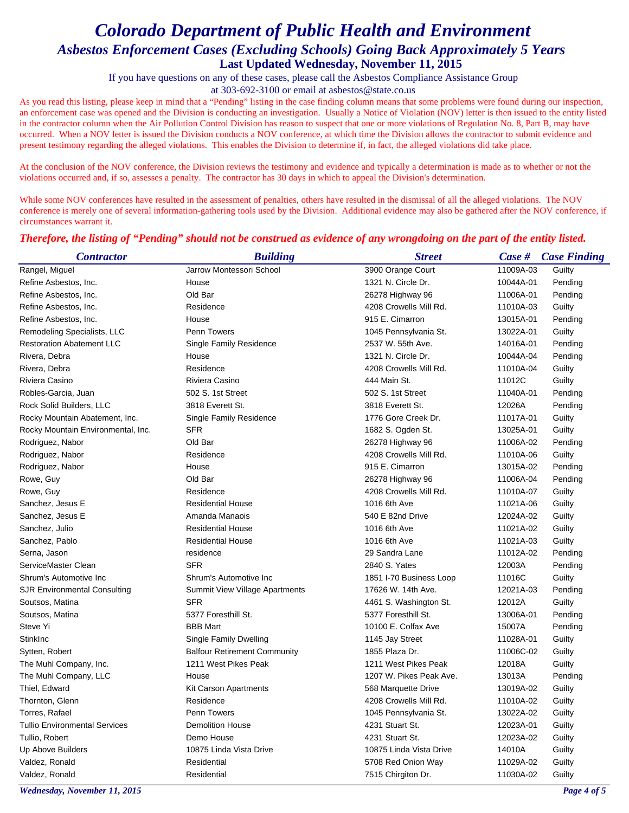If you have questions on any of these cases, please call the Asbestos Compliance Assistance Group

at 303-692-3100 or email at asbestos@state.co.us

As you read this listing, please keep in mind that a "Pending" listing in the case finding column means that some problems were found during our inspection, an enforcement case was opened and the Division is conducting an investigation. Usually a Notice of Violation (NOV) letter is then issued to the entity listed in the contractor column when the Air Pollution Control Division has reason to suspect that one or more violations of Regulation No. 8, Part B, may have occurred. When a NOV letter is issued the Division conducts a NOV conference, at which time the Division allows the contractor to submit evidence and present testimony regarding the alleged violations. This enables the Division to determine if, in fact, the alleged violations did take place.

At the conclusion of the NOV conference, the Division reviews the testimony and evidence and typically a determination is made as to whether or not the violations occurred and, if so, assesses a penalty. The contractor has 30 days in which to appeal the Division's determination.

While some NOV conferences have resulted in the assessment of penalties, others have resulted in the dismissal of all the alleged violations. The NOV conference is merely one of several information-gathering tools used by the Division. Additional evidence may also be gathered after the NOV conference, if circumstances warrant it.

### *Therefore, the listing of "Pending" should not be construed as evidence of any wrongdoing on the part of the entity listed.*

| <b>Contractor</b>                    | <b>Building</b>                     | <b>Street</b>           | Case #    | <b>Case Finding</b> |
|--------------------------------------|-------------------------------------|-------------------------|-----------|---------------------|
| Rangel, Miguel                       | Jarrow Montessori School            | 3900 Orange Court       | 11009A-03 | Guilty              |
| Refine Asbestos, Inc.                | House                               | 1321 N. Circle Dr.      | 10044A-01 | Pending             |
| Refine Asbestos, Inc.                | Old Bar                             | 26278 Highway 96        | 11006A-01 | Pending             |
| Refine Asbestos, Inc.                | Residence                           | 4208 Crowells Mill Rd.  | 11010A-03 | Guilty              |
| Refine Asbestos, Inc.                | House                               | 915 E. Cimarron         | 13015A-01 | Pending             |
| Remodeling Specialists, LLC          | Penn Towers                         | 1045 Pennsylvania St.   | 13022A-01 | Guilty              |
| <b>Restoration Abatement LLC</b>     | <b>Single Family Residence</b>      | 2537 W. 55th Ave.       | 14016A-01 | Pending             |
| Rivera, Debra                        | House                               | 1321 N. Circle Dr.      | 10044A-04 | Pending             |
| Rivera, Debra                        | Residence                           | 4208 Crowells Mill Rd.  | 11010A-04 | Guilty              |
| Riviera Casino                       | Riviera Casino                      | 444 Main St.            | 11012C    | Guilty              |
| Robles-Garcia, Juan                  | 502 S. 1st Street                   | 502 S. 1st Street       | 11040A-01 | Pending             |
| Rock Solid Builders, LLC             | 3818 Everett St.                    | 3818 Everett St.        | 12026A    | Pending             |
| Rocky Mountain Abatement, Inc.       | Single Family Residence             | 1776 Gore Creek Dr.     | 11017A-01 | Guilty              |
| Rocky Mountain Environmental, Inc.   | <b>SFR</b>                          | 1682 S. Ogden St.       | 13025A-01 | Guilty              |
| Rodriguez, Nabor                     | Old Bar                             | 26278 Highway 96        | 11006A-02 | Pending             |
| Rodriguez, Nabor                     | Residence                           | 4208 Crowells Mill Rd.  | 11010A-06 | Guilty              |
| Rodriguez, Nabor                     | House                               | 915 E. Cimarron         | 13015A-02 | Pending             |
| Rowe, Guy                            | Old Bar                             | 26278 Highway 96        | 11006A-04 | Pending             |
| Rowe, Guy                            | Residence                           | 4208 Crowells Mill Rd.  | 11010A-07 | Guilty              |
| Sanchez, Jesus E                     | <b>Residential House</b>            | 1016 6th Ave            | 11021A-06 | Guilty              |
| Sanchez, Jesus E                     | Amanda Manaois                      | 540 E 82nd Drive        | 12024A-02 | Guilty              |
| Sanchez, Julio                       | <b>Residential House</b>            | 1016 6th Ave            | 11021A-02 | Guilty              |
| Sanchez, Pablo                       | <b>Residential House</b>            | 1016 6th Ave            | 11021A-03 | Guilty              |
| Serna, Jason                         | residence                           | 29 Sandra Lane          | 11012A-02 | Pending             |
| ServiceMaster Clean                  | <b>SFR</b>                          | 2840 S. Yates           | 12003A    | Pending             |
| Shrum's Automotive Inc               | Shrum's Automotive Inc              | 1851 I-70 Business Loop | 11016C    | Guilty              |
| <b>SJR Environmental Consulting</b>  | Summit View Village Apartments      | 17626 W. 14th Ave.      | 12021A-03 | Pending             |
| Soutsos, Matina                      | <b>SFR</b>                          | 4461 S. Washington St.  | 12012A    | Guilty              |
| Soutsos, Matina                      | 5377 Foresthill St.                 | 5377 Foresthill St.     | 13006A-01 | Pending             |
| Steve Yi                             | <b>BBB</b> Mart                     | 10100 E. Colfax Ave     | 15007A    | Pending             |
| StinkInc                             | Single Family Dwelling              | 1145 Jay Street         | 11028A-01 | Guilty              |
| Sytten, Robert                       | <b>Balfour Retirement Community</b> | 1855 Plaza Dr.          | 11006C-02 | Guilty              |
| The Muhl Company, Inc.               | 1211 West Pikes Peak                | 1211 West Pikes Peak    | 12018A    | Guilty              |
| The Muhl Company, LLC                | House                               | 1207 W. Pikes Peak Ave. | 13013A    | Pending             |
| Thiel, Edward                        | <b>Kit Carson Apartments</b>        | 568 Marquette Drive     | 13019A-02 | Guilty              |
| Thornton, Glenn                      | Residence                           | 4208 Crowells Mill Rd.  | 11010A-02 | Guilty              |
| Torres, Rafael                       | <b>Penn Towers</b>                  | 1045 Pennsylvania St.   | 13022A-02 | Guilty              |
| <b>Tullio Environmental Services</b> | <b>Demolition House</b>             | 4231 Stuart St.         | 12023A-01 | Guilty              |
| Tullio, Robert                       | Demo House                          | 4231 Stuart St.         | 12023A-02 | Guilty              |
| Up Above Builders                    | 10875 Linda Vista Drive             | 10875 Linda Vista Drive | 14010A    | Guilty              |
| Valdez, Ronald                       | Residential                         | 5708 Red Onion Way      | 11029A-02 | Guilty              |
| Valdez, Ronald                       | Residential                         | 7515 Chirgiton Dr.      | 11030A-02 | Guilty              |

*Wednesday, November 11, 2015 Page 4 of 5*